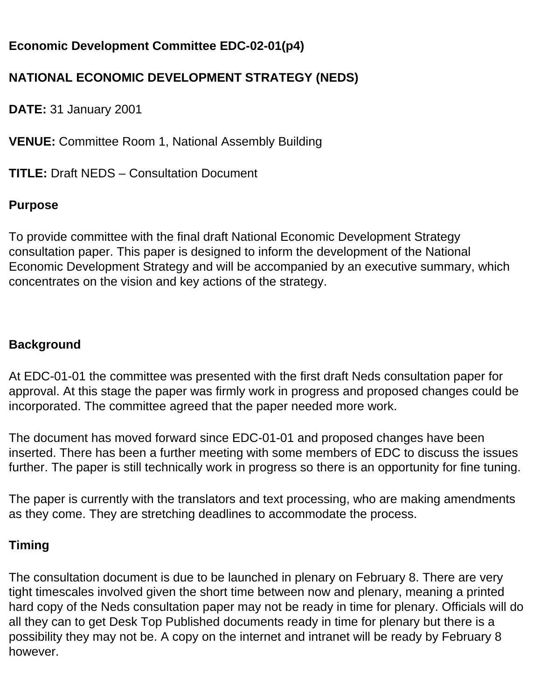# **Economic Development Committee EDC-02-01(p4)**

# **NATIONAL ECONOMIC DEVELOPMENT STRATEGY (NEDS)**

**DATE:** 31 January 2001

**VENUE:** Committee Room 1, National Assembly Building

**TITLE:** Draft NEDS – Consultation Document

### **Purpose**

To provide committee with the final draft National Economic Development Strategy consultation paper. This paper is designed to inform the development of the National Economic Development Strategy and will be accompanied by an executive summary, which concentrates on the vision and key actions of the strategy.

#### **Background**

At EDC-01-01 the committee was presented with the first draft Neds consultation paper for approval. At this stage the paper was firmly work in progress and proposed changes could be incorporated. The committee agreed that the paper needed more work.

The document has moved forward since EDC-01-01 and proposed changes have been inserted. There has been a further meeting with some members of EDC to discuss the issues further. The paper is still technically work in progress so there is an opportunity for fine tuning.

The paper is currently with the translators and text processing, who are making amendments as they come. They are stretching deadlines to accommodate the process.

### **Timing**

The consultation document is due to be launched in plenary on February 8. There are very tight timescales involved given the short time between now and plenary, meaning a printed hard copy of the Neds consultation paper may not be ready in time for plenary. Officials will do all they can to get Desk Top Published documents ready in time for plenary but there is a possibility they may not be. A copy on the internet and intranet will be ready by February 8 however.